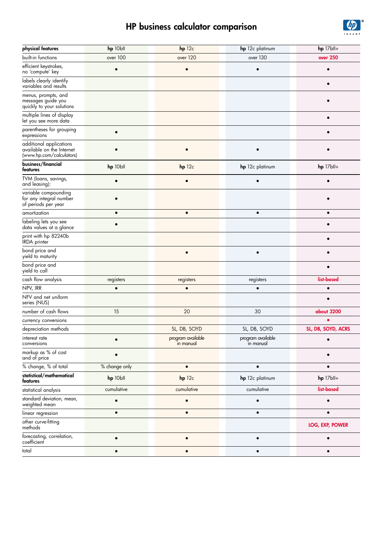## HP business calculator comparison



| physical features                                                                | hp 10bll      | $hp$ 12 $c$                    | hp 12c platinum                | $hp$ 17 $bl+$          |
|----------------------------------------------------------------------------------|---------------|--------------------------------|--------------------------------|------------------------|
| built-in functions                                                               | over 100      | over 120                       | over 130                       | over 250               |
| efficient keystrokes,<br>no 'compute' key                                        |               | $\bullet$                      |                                |                        |
| labels clearly identify<br>variables and results                                 |               |                                |                                |                        |
| menus, prompts, and<br>messages guide you<br>quickly to your solutions           |               |                                |                                |                        |
| multiple lines of display<br>let you see more data                               |               |                                |                                | $\bullet$              |
| parentheses for grouping<br>expressions                                          | $\bullet$     |                                |                                | $\bullet$              |
| additional applications<br>available on the Internet<br>(www.hp.com/calculators) |               |                                |                                |                        |
| business/financial<br>features                                                   | hp 10bll      | $hp$ 12 $c$                    | hp 12c platinum                | hp 17bll+              |
| TVM (loans, savings,<br>and leasing):                                            |               |                                |                                |                        |
| variable compounding<br>for any integral number<br>of periods per year           |               |                                |                                |                        |
| amortization                                                                     | $\bullet$     | $\bullet$                      | $\bullet$                      | $\bullet$              |
| labeling lets you see<br>data values at a glance                                 |               |                                |                                |                        |
| print with hp 82240b<br><b>IRDA</b> printer                                      |               |                                |                                |                        |
| bond price and<br>yield to maturity                                              |               | $\bullet$                      | $\bullet$                      | $\bullet$              |
| bond price and<br>yield to call                                                  |               |                                |                                |                        |
| cash flow analysis                                                               | registers     | registers                      | registers                      | list-based             |
| NPV, IRR                                                                         | $\bullet$     | $\bullet$                      | $\bullet$                      | $\bullet$              |
| NFV and net uniform<br>series (NUS)                                              |               |                                |                                | $\epsilon$             |
| number of cash flows                                                             | 15            | 20                             | 30                             | about 3200             |
| currency conversions                                                             |               |                                |                                |                        |
| depreciation methods                                                             |               | SL, DB, SOYD                   | SL, DB, SOYD                   | SL, DB, SOYD, ACRS     |
| interest rate<br>conversions                                                     |               | program available<br>in manual | program available<br>in manual |                        |
| markup as % of cost<br>and of price                                              |               |                                |                                |                        |
| % change, % of total                                                             | % change only | $\bullet$                      | $\bullet$                      | $\bullet$              |
| statistical/mathematical<br>features                                             | hp 10bll      | $hp$ 12 $c$                    | hp 12c platinum                | hp 17bll+              |
| statistical analysis                                                             | cumulative    | cumulative                     | cumulative                     | list-based             |
| standard deviation, mean,<br>weighted mean                                       |               |                                |                                |                        |
| linear regression                                                                | $\bullet$     | $\bullet$                      |                                | $\bullet$              |
| other curve-fitting<br>methods                                                   |               |                                |                                | <b>LOG, EXP, POWER</b> |
| forecasting, correlation,<br>coefficient                                         |               | $\bullet$                      | $\bullet$                      | $\bullet$              |
| total                                                                            | $\bullet$     | $\bullet$                      | $\bullet$                      | $\bullet$              |